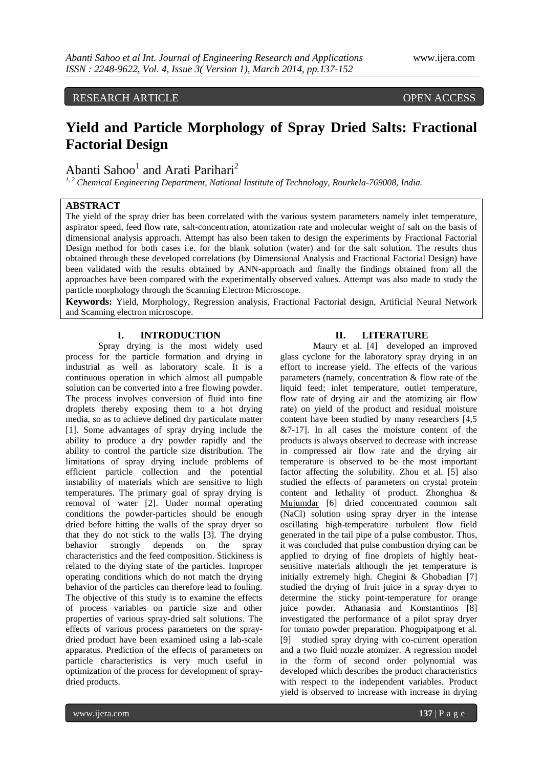RESEARCH ARTICLE OPEN ACCESS

# **Yield and Particle Morphology of Spray Dried Salts: Fractional Factorial Design**

Abanti Sahoo<sup>1</sup> and Arati Parihari<sup>2</sup>

*1, 2 Chemical Engineering Department, National Institute of Technology, Rourkela-769008, India.*

## **ABSTRACT**

The yield of the spray drier has been correlated with the various system parameters namely inlet temperature, aspirator speed, feed flow rate, salt-concentration, atomization rate and molecular weight of salt on the basis of dimensional analysis approach. Attempt has also been taken to design the experiments by Fractional Factorial Design method for both cases i.e. for the blank solution (water) and for the salt solution. The results thus obtained through these developed correlations (by Dimensional Analysis and Fractional Factorial Design) have been validated with the results obtained by ANN-approach and finally the findings obtained from all the approaches have been compared with the experimentally observed values. Attempt was also made to study the particle morphology through the Scanning Electron Microscope.

**Keywords:** Yield, Morphology, Regression analysis, Fractional Factorial design, Artificial Neural Network and Scanning electron microscope.

#### **I. INTRODUCTION**

Spray drying is the most widely used process for the particle formation and drying in industrial as well as laboratory scale. It is a continuous operation in which almost all pumpable solution can be converted into a free flowing powder. The process involves conversion of fluid into fine droplets thereby exposing them to a hot drying media, so as to achieve defined dry particulate matter [1]. Some advantages of spray drying include the ability to produce a dry powder rapidly and the ability to control the particle size distribution. The limitations of spray drying include problems of efficient particle collection and the potential instability of materials which are sensitive to high temperatures. The primary goal of spray drying is removal of water [2]. Under normal operating conditions the powder-particles should be enough dried before hitting the walls of the spray dryer so that they do not stick to the walls [3]. The drying behavior strongly depends on the spray characteristics and the feed composition. Stickiness is related to the drying state of the particles. Improper operating conditions which do not match the drying behavior of the particles can therefore lead to fouling. The objective of this study is to examine the effects of process variables on particle size and other properties of various spray-dried salt solutions. The effects of various process parameters on the spraydried product have been examined using a lab-scale apparatus. Prediction of the effects of parameters on particle characteristics is very much useful in optimization of the process for development of spraydried products.

#### **II. LITERATURE**

Maury et al. [4] developed an improved glass cyclone for the laboratory spray drying in an effort to increase yield. The effects of the various parameters (namely, concentration & flow rate of the liquid feed; inlet temperature, outlet temperature, flow rate of drying air and the atomizing air flow rate) on yield of the product and residual moisture content have been studied by many researchers [4,5  $&7-17$ ]. In all cases the moisture content of the products is always observed to decrease with increase in compressed air flow rate and the drying air temperature is observed to be the most important factor affecting the solubility. Zhou et al. [5] also studied the effects of parameters on crystal protein content and lethality of product. Zhonghua & Mujumdar [6] dried concentrated common salt (NaCl) solution using spray dryer in the intense oscillating high-temperature turbulent flow field generated in the tail pipe of a pulse combustor. Thus, it was concluded that pulse combustion drying can be applied to drying of fine droplets of highly heatsensitive materials although the jet temperature is initially extremely high. Chegini & Ghobadian [7] studied the drying of fruit juice in a spray dryer to determine the sticky point-temperature for orange juice powder. Athanasia and Konstantinos [8] investigated the performance of a pilot spray dryer for tomato powder preparation. Phogpipatpong et al. [9] studied spray drying with co-current operation and a two fluid nozzle atomizer. A regression model in the form of second order polynomial was developed which describes the product characteristics with respect to the independent variables. Product yield is observed to increase with increase in drying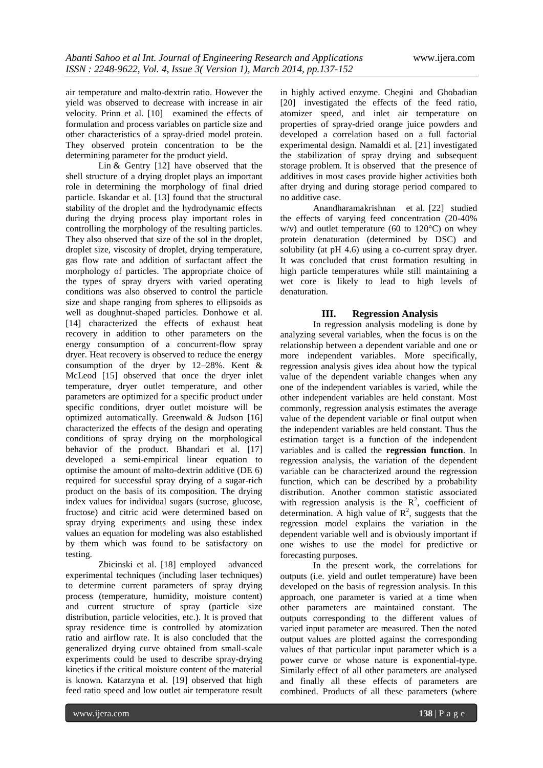air temperature and malto-dextrin ratio. However the yield was observed to decrease with increase in air velocity. Prinn et al. [10] examined the effects of formulation and process variables on particle size and other characteristics of a spray-dried model protein. They observed protein concentration to be the determining parameter for the product yield.

Lin & Gentry [12] have observed that the shell structure of a drying droplet plays an important role in determining the morphology of final dried particle. Iskandar et al. [13] found that the structural stability of the droplet and the hydrodynamic effects during the drying process play important roles in controlling the morphology of the resulting particles. They also observed that size of the sol in the droplet, droplet size, viscosity of droplet, drying temperature, gas flow rate and addition of surfactant affect the morphology of particles. The appropriate choice of the types of spray dryers with varied operating conditions was also observed to control the particle size and shape ranging from spheres to ellipsoids as well as doughnut-shaped particles. Donhowe et al. [14] characterized the effects of exhaust heat recovery in addition to other parameters on the energy consumption of a concurrent-flow spray dryer. Heat recovery is observed to reduce the energy consumption of the dryer by 12–28%. Kent & McLeod [15] observed that once the dryer inlet temperature, dryer outlet temperature, and other parameters are optimized for a specific product under specific conditions, dryer outlet moisture will be optimized automatically. Greenwald & Judson [16] characterized the effects of the design and operating conditions of spray drying on the morphological behavior of the product. Bhandari et al. [17] developed a semi-empirical linear equation to optimise the amount of malto-dextrin additive (DE 6) required for successful spray drying of a sugar-rich product on the basis of its composition. The drying index values for individual sugars (sucrose, glucose, fructose) and citric acid were determined based on spray drying experiments and using these index values an equation for modeling was also established by them which was found to be satisfactory on testing.

Zbicinski et al. [18] employed advanced experimental techniques (including laser techniques) to determine current parameters of spray drying process (temperature, humidity, moisture content) and current structure of spray (particle size distribution, particle velocities, etc.). It is proved that spray residence time is controlled by atomization ratio and airflow rate. It is also concluded that the generalized drying curve obtained from small-scale experiments could be used to describe spray-drying kinetics if the critical moisture content of the material is known. Katarzyna et al. [19] observed that high feed ratio speed and low outlet air temperature result

in highly actived enzyme. Chegini and Ghobadian [20] investigated the effects of the feed ratio, atomizer speed, and inlet air temperature on properties of spray-dried orange juice powders and developed a correlation based on a full factorial experimental design. Namaldi et al. [21] investigated the stabilization of spray drying and subsequent storage problem. It is observed that the presence of additives in most cases provide higher activities both after drying and during storage period compared to no additive case.

Anandharamakrishnan et al. [22] studied the effects of varying feed concentration (20-40%  $w/v$ ) and outlet temperature (60 to 120 $^{\circ}$ C) on whey protein denaturation (determined by DSC) and solubility (at pH 4.6) using a co-current spray dryer. It was concluded that crust formation resulting in high particle temperatures while still maintaining a wet core is likely to lead to high levels of denaturation.

### **III. Regression Analysis**

In regression analysis modeling is done by analyzing several variables, when the focus is on the relationship between a [dependent variable](http://en.wikipedia.org/wiki/Dependent_variable) and one or more [independent variables.](http://en.wikipedia.org/wiki/Independent_variable) More specifically, regression analysis gives idea about how the typical value of the dependent variable changes when any one of the independent variables is varied, while the other independent variables are held constant. Most commonly, regression analysis estimates the [average](http://en.wikipedia.org/wiki/Average_value)  [value](http://en.wikipedia.org/wiki/Average_value) of the dependent variable or final output when the independent variables are held constant. Thus the estimation target is a [function](http://en.wikipedia.org/wiki/Function_(mathematics)) of the independent variables and is called the **regression function**. In regression analysis, the variation of the dependent variable can be characterized around the regression function, which can be described by a [probability](http://en.wikipedia.org/wiki/Probability_distribution)  [distribution.](http://en.wikipedia.org/wiki/Probability_distribution) Another common statistic associated with regression analysis is the  $R^2$ , coefficient of determination. A high value of  $\mathbb{R}^2$ , suggests that the regression model explains the variation in the dependent variable well and is obviously important if one wishes to use the model for predictive or forecasting purposes.

In the present work, the correlations for outputs (i.e. yield and outlet temperature) have been developed on the basis of regression analysis. In this approach, one parameter is varied at a time when other parameters are maintained constant. The outputs corresponding to the different values of varied input parameter are measured. Then the noted output values are plotted against the corresponding values of that particular input parameter which is a power curve or whose nature is exponential-type. Similarly effect of all other parameters are analysed and finally all these effects of parameters are combined. Products of all these parameters (where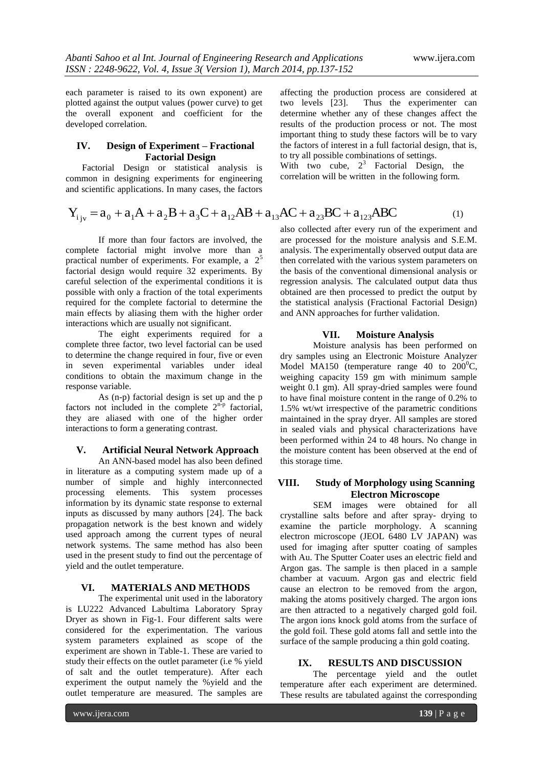each parameter is raised to its own exponent) are plotted against the output values (power curve) to get the overall exponent and coefficient for the developed correlation.

#### **IV. Design of Experiment – Fractional Factorial Design**

Factorial Design or statistical analysis is common in designing experiments for engineering and scientific applications. In many cases, the factors

affecting the production process are considered at two levels [23]. Thus the experimenter can determine whether any of these changes affect the results of the production process or not. The most important thing to study these factors will be to vary the factors of interest in a full factorial design, that is, to try all possible combinations of settings.

With two cube,  $2^3$  Factorial Design, the correlation will be written in the following form.

and scientific applications. In many cases, the factors  
\n
$$
Y_{ijy} = a_0 + a_1A + a_2B + a_3C + a_{12}AB + a_{13}AC + a_{23}BC + a_{123}ABC
$$
\n(1)

If more than four factors are involved, the complete factorial might involve more than a practical number of experiments. For example, a 2<sup>5</sup> factorial design would require 32 experiments. By careful selection of the experimental conditions it is possible with only a fraction of the total experiments required for the complete factorial to determine the main effects by aliasing them with the higher order interactions which are usually not significant.

The eight experiments required for a complete three factor, two level factorial can be used to determine the change required in four, five or even in seven experimental variables under ideal conditions to obtain the maximum change in the response variable.

As (n-p) factorial design is set up and the p factors not included in the complete  $2^{n-p}$  factorial, they are aliased with one of the higher order interactions to form a generating contrast.

#### **V. Artificial Neural Network Approach**

An ANN-based model has also been defined in literature as a computing system made up of a number of simple and highly interconnected processing elements. This system processes information by its dynamic state response to external inputs as discussed by many authors [24]. The back propagation network is the best known and widely used approach among the current types of neural network systems. The same method has also been used in the present study to find out the percentage of yield and the outlet temperature.

### **VI. MATERIALS AND METHODS**

The experimental unit used in the laboratory is LU222 Advanced Labultima Laboratory Spray Dryer as shown in Fig-1. Four different salts were considered for the experimentation. The various system parameters explained as scope of the experiment are shown in Table-1. These are varied to study their effects on the outlet parameter (i.e % yield of salt and the outlet temperature). After each experiment the output namely the %yield and the outlet temperature are measured. The samples are

also collected after every run of the experiment and are processed for the moisture analysis and S.E.M. analysis. The experimentally observed output data are then correlated with the various system parameters on the basis of the conventional dimensional analysis or regression analysis. The calculated output data thus obtained are then processed to predict the output by the statistical analysis (Fractional Factorial Design) and ANN approaches for further validation.

#### **VII. Moisture Analysis**

Moisture analysis has been performed on dry samples using an Electronic Moisture Analyzer Model MA150 (temperature range 40 to  $200^{\circ}$ C, weighing capacity 159 gm with minimum sample weight 0.1 gm). All spray-dried samples were found to have final moisture content in the range of 0.2% to 1.5% wt/wt irrespective of the parametric conditions maintained in the spray dryer. All samples are stored in sealed vials and physical characterizations have been performed within 24 to 48 hours. No change in the moisture content has been observed at the end of this storage time.

## **VIII. Study of Morphology using Scanning Electron Microscope**

SEM images were obtained for all crystalline salts before and after spray- drying to examine the particle morphology. A scanning electron microscope (JEOL 6480 LV JAPAN) was used for imaging after sputter coating of samples with Au. The Sputter Coater uses an electric field and Argon gas. The sample is then placed in a sample chamber at vacuum. Argon gas and electric field cause an electron to be removed from the argon, making the atoms positively charged. The argon ions are then attracted to a negatively charged gold foil. The argon ions knock gold atoms from the surface of the gold foil. These gold atoms fall and settle into the surface of the sample producing a thin gold coating.

#### **IX. RESULTS AND DISCUSSION**

The percentage yield and the outlet temperature after each experiment are determined. These results are tabulated against the corresponding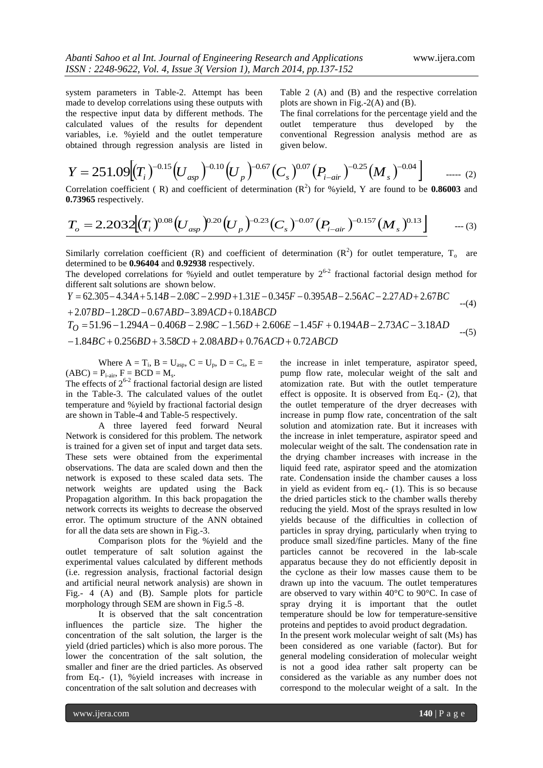system parameters in Table-2. Attempt has been made to develop correlations using these outputs with the respective input data by different methods. The calculated values of the results for dependent variables, i.e. %yield and the outlet temperature obtained through regression analysis are listed in Table 2 (A) and (B) and the respective correlation plots are shown in Fig.-2(A) and (B).

The final correlations for the percentage yield and the outlet temperature thus developed by the conventional Regression analysis method are as given below.

$$
Y = 251.09 \left[ (T_i)^{-0.15} \left( U_{\rm asp} \right)^{-0.10} \left( U_{\rm p} \right)^{-0.67} \left( C_s \right)^{0.07} \left( P_{i-\rm air} \right)^{-0.25} \left( M_s \right)^{-0.04} \right] \qquad \qquad (2)
$$

Correlation coefficient (R) and coefficient of determination  $(R^2)$  for % yield, Y are found to be **0.86003** and **0.73965** respectively.

$$
T_o = 2.2032 \Big[ (T_i)^{0.08} \Big( U_{\rm asp} \Big)^{0.20} \Big( U_p \Big)^{-0.23} \Big( C_s \Big)^{-0.07} \Big( P_{i-\rm air} \Big)^{-0.157} \Big( M_s \Big)^{0.13} \Big] \qquad \qquad \dots (3)
$$

Similarly correlation coefficient (R) and coefficient of determination  $(R^2)$  for outlet temperature, T<sub>o</sub> are determined to be **0.96404** and **0.92938** respectively. *<sup>Y</sup> <sup>A</sup> <sup>B</sup> <sup>C</sup> <sup>D</sup> <sup>E</sup> <sup>F</sup> A B A C A D B C*

The developed correlations for %yield and outlet temperature by  $2^{6-2}$  fractional factorial design method for<br>different salt solutions are shown below.<br> $Y = 62.305 - 4.34A + 5.14B - 2.08C - 2.99D + 1.31E - 0.345F - 0.395AB - 2.56$ different salt solutions are shown below.

$$
Y = 62.305 - 4.34A + 5.14B - 2.08C - 2.99D + 1.31E - 0.345F - 0.395AB - 2.56AC - 2.27AD + 2.67BC
$$
 -(4)

different salt solutions are shown below.  
\n
$$
Y = 62.305 - 4.34A + 5.14B - 2.08C - 2.99D + 1.31E - 0.345F - 0.395AB - 2.56AC - 2.27AD + 2.67BC
$$
  
\n+ 2.07BD - 1.28CD - 0.67ABD - 3.89ACD + 0.18ABCD  
\n $T_O = 51.96 - 1.294A - 0.406B - 2.98C - 1.56D + 2.606E - 1.45F + 0.194AB - 2.73AC - 3.18AD$   
\n- (5)  
\n- 1.84BC + 0.256BD + 3.58CD + 2.08ABD + 0.76ACD + 0.72ABCD

Where  $A = T_i$ ,  $B = U_{asp}$ ,  $C = U_p$ ,  $D = C_s$ ,  $E =$  $(ABC) = P_{i-air}$ ,  $F = BCD = M_s$ .

The effects of  $2^{6-2}$  fractional factorial design are listed in the Table-3. The calculated values of the outlet temperature and %yield by fractional factorial design are shown in Table-4 and Table-5 respectively.

A three layered feed forward Neural Network is considered for this problem. The network is trained for a given set of input and target data sets. These sets were obtained from the experimental observations. The data are scaled down and then the network is exposed to these scaled data sets. The network weights are updated using the Back Propagation algorithm. In this back propagation the network corrects its weights to decrease the observed error. The optimum structure of the ANN obtained for all the data sets are shown in Fig.-3.

Comparison plots for the %yield and the outlet temperature of salt solution against the experimental values calculated by different methods (i.e. regression analysis, fractional factorial design and artificial neural network analysis) are shown in Fig.- 4 (A) and (B). Sample plots for particle morphology through SEM are shown in Fig.5 -8.

It is observed that the salt concentration influences the particle size. The higher the concentration of the salt solution, the larger is the yield (dried particles) which is also more porous. The lower the concentration of the salt solution, the smaller and finer are the dried particles. As observed from Eq.- (1), %yield increases with increase in concentration of the salt solution and decreases with

the increase in inlet temperature, aspirator speed, pump flow rate, molecular weight of the salt and atomization rate. But with the outlet temperature effect is opposite. It is observed from Eq.- (2), that the outlet temperature of the dryer decreases with increase in pump flow rate, concentration of the salt solution and atomization rate. But it increases with the increase in inlet temperature, aspirator speed and molecular weight of the salt. The condensation rate in the drying chamber increases with increase in the liquid feed rate, aspirator speed and the atomization rate. Condensation inside the chamber causes a loss in yield as evident from eq.- (1). This is so because the dried particles stick to the chamber walls thereby reducing the yield. Most of the sprays resulted in low yields because of the difficulties in collection of particles in spray drying, particularly when trying to produce small sized/fine particles. Many of the fine particles cannot be recovered in the lab-scale apparatus because they do not efficiently deposit in the cyclone as their low masses cause them to be drawn up into the vacuum. The outlet temperatures are observed to vary within 40°C to 90°C. In case of spray drying it is important that the outlet temperature should be low for temperature-sensitive proteins and peptides to avoid product degradation.

In the present work molecular weight of salt (Ms) has been considered as one variable (factor). But for general modeling consideration of molecular weight is not a good idea rather salt property can be considered as the variable as any number does not correspond to the molecular weight of a salt. In the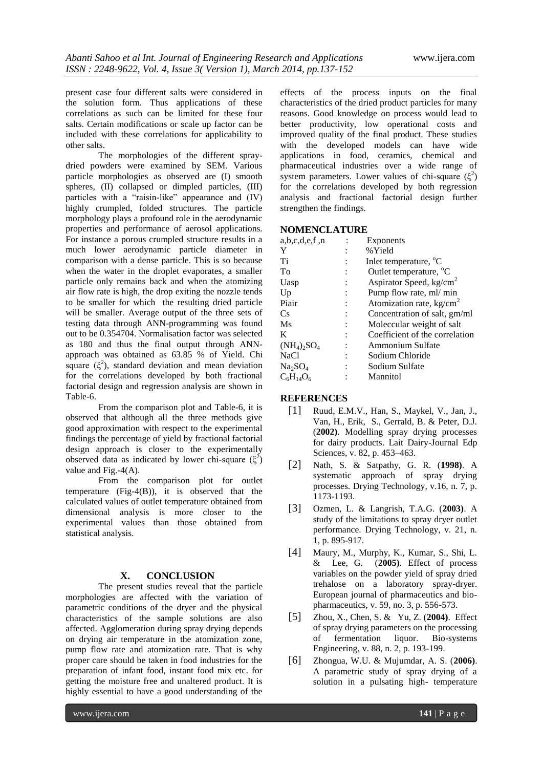present case four different salts were considered in the solution form. Thus applications of these correlations as such can be limited for these four salts. Certain modifications or scale up factor can be included with these correlations for applicability to other salts.

The morphologies of the different spraydried powders were examined by SEM. Various particle morphologies as observed are (I) smooth spheres, (II) collapsed or dimpled particles, (III) particles with a "raisin-like" appearance and  $(IV)$ highly crumpled, folded structures. The particle morphology plays a profound role in the aerodynamic properties and performance of aerosol applications. For instance a porous crumpled structure results in a much lower aerodynamic particle diameter in comparison with a dense particle. This is so because when the water in the droplet evaporates, a smaller particle only remains back and when the atomizing air flow rate is high, the drop exiting the nozzle tends to be smaller for which the resulting dried particle will be smaller. Average output of the three sets of testing data through ANN-programming was found out to be 0.354704. Normalisation factor was selected as 180 and thus the final output through ANNapproach was obtained as 63.85 % of Yield. Chi square  $(\xi^2)$ , standard deviation and mean deviation for the correlations developed by both fractional factorial design and regression analysis are shown in Table-6.

From the comparison plot and Table-6, it is observed that although all the three methods give good approximation with respect to the experimental findings the percentage of yield by fractional factorial design approach is closer to the experimentally observed data as indicated by lower chi-square  $(\xi^2)$ value and Fig.-4(A).

From the comparison plot for outlet temperature (Fig-4(B)), it is observed that the calculated values of outlet temperature obtained from dimensional analysis is more closer to the experimental values than those obtained from statistical analysis.

### **X. CONCLUSION**

The present studies reveal that the particle morphologies are affected with the variation of parametric conditions of the dryer and the physical characteristics of the sample solutions are also affected. Agglomeration during spray drying depends on drying air temperature in the atomization zone, pump flow rate and atomization rate. That is why proper care should be taken in food industries for the preparation of infant food, instant food mix etc. for getting the moisture free and unaltered product. It is highly essential to have a good understanding of the

effects of the process inputs on the final characteristics of the dried product particles for many reasons. Good knowledge on process would lead to better productivity, low operational costs and improved quality of the final product. These studies with the developed models can have wide applications in food, ceramics, chemical and pharmaceutical industries over a wide range of system parameters. Lower values of chi-square  $(\xi^2)$ for the correlations developed by both regression analysis and fractional factorial design further strengthen the findings.

# **NOMENCLATURE**

| a,b,c,d,e,f,n      | Exponents                          |
|--------------------|------------------------------------|
| Y                  | % Yield                            |
| Ti                 | Inlet temperature, <sup>o</sup> C  |
| To                 | Outlet temperature, <sup>o</sup> C |
| Uasp               | Aspirator Speed, $kg/cm2$          |
| Up                 | Pump flow rate, ml/ min            |
| Piair              | Atomization rate, $\text{kg/cm}^2$ |
| Сs                 | Concentration of salt, gm/ml       |
| Ms                 | Moleccular weight of salt          |
| K                  | Coefficient of the correlation     |
| $(NH_4)_2SO_4$     | <b>Ammonium Sulfate</b>            |
| NaCl               | Sodium Chloride                    |
| Na2SO4             | Sodium Sulfate                     |
| $\rm C_6H_{14}O_6$ | Mannitol                           |
|                    |                                    |

#### **REFERENCES**

- [1] Ruud, E.M.V., Han, S., Maykel, V., Jan, J., Van, H., Erik, S., Gerrald, B. & Peter, D.J. (**2002)**. Modelling spray drying processes for dairy products. Lait Dairy-Journal Edp Sciences, v. 82, p. 453–463.
- [2] Nath, S. & Satpathy, G. R. (**1998)**. A systematic approach of spray drying processes. Drying Technology, v.16, n. 7, p. 1173-1193.
- [3] Ozmen, L. & Langrish, T.A.G. (**2003)**. A study of the limitations to spray dryer outlet performance. Drying Technology, v. 21, n. 1, p. 895-917.
- [4] Maury, M., Murphy, K., Kumar, S., Shi, L. & Lee, G. (**2005)**. Effect of process variables on the powder yield of spray dried trehalose on a laboratory spray-dryer. European journal of pharmaceutics and biopharmaceutics, v. 59, no. 3, p. 556-573.
- [5] Zhou, X., Chen, S. & Yu, Z. (**2004)**. Effect of spray drying parameters on the processing of fermentation liquor. Bio-systems Engineering, v. 88, n. 2, p. 193-199.
- [6] Zhongua, W.U. & Mujumdar, A. S. (**2006)**. A parametric study of spray drying of a solution in a pulsating high- temperature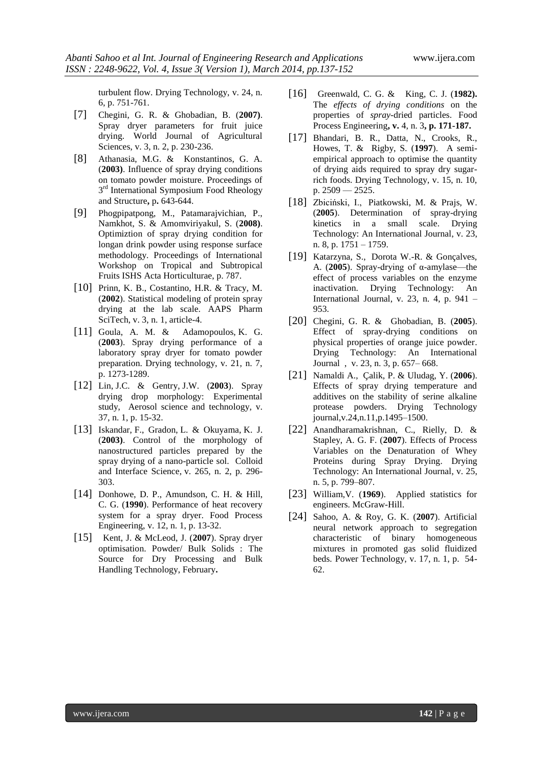turbulent flow. Drying Technology, v. 24, n. 6, p. 751-761.

- [7] Chegini, G. R. & Ghobadian, B. (**2007)**. Spray dryer parameters for fruit juice drying. World Journal of Agricultural Sciences, v. 3, n. 2, p. 230-236.
- [8] Athanasia, M.G. & Konstantinos, G. A. (**2003)**. Influence of spray drying conditions on tomato powder moisture. Proceedings of 3<sup>rd</sup> International Symposium Food Rheology and Structure**,** p**.** 643-644.
- [9] Phogpipatpong, M., Patamarajvichian, P., Namkhot, S. & Amomviriyakul, S. (**2008)**. Optimiztion of spray drying condition for longan drink powder using response surface methodology. Proceedings of International Workshop on Tropical and Subtropical Fruits ISHS Acta Horticulturae, p. 787.
- [10] Prinn, K. B., Costantino, H.R. & Tracy, M. (**2002**). Statistical modeling of protein spray drying at the lab scale. AAPS Pharm SciTech, v. 3, n. 1, article-4.
- [11] Goula, A. M. & Adamopoulos, K. G. (**2003**). Spray drying performance of a laboratory spray dryer for tomato powder preparation. Drying technology, v. 21, n. 7, p. 1273-1289.
- [12] Lin, J.C. & Gentry, J.W. (**2003**). Spray drying drop morphology: Experimental study, Aerosol science and technology, v. 37, n. 1, p. 15-32.
- [13] Iskandar, F., Gradon, L. & Okuyama, K. J. (**2003)**. Control of the morphology of nanostructured particles prepared by the spray drying of a nano-particle sol. Colloid and Interface Science, v. 265, n. 2, p. 296- 303.
- [14] Donhowe, D. P., Amundson, C. H. & Hill, C. G. (**1990**). Performance of heat recovery system for a spray dryer. Food Process Engineering, v. 12, n. 1, p. 13-32.
- [15] Kent, J. & McLeod, J. (**2007**). Spray dryer optimisation. Powder/ Bulk Solids : The Source for Dry Processing and Bulk Handling Technology, February**.**
- [16] Greenwald, C. G. & King, C. J. (**1982).** The *effects of drying conditions* on the properties of *spray-*dried particles. Food Process Engineering**, v.** [4, n. 3](http://www3.interscience.wiley.com/journal/119575887/issue)**, p. 171-187.**
- [17] Bhandari, B. R., Datta, N., Crooks, R., Howes, T. & Rigby, S. (**1997**).A semiempirical approach to optimise the quantity of drying aids required to spray dry sugarrich foods. Drying Technology, v. 15, n. 10, p. 2509 — 2525.
- [18] Zbiciński, I., Piatkowski, M. & Prajs, W. (**2005**). [Determination of spray-drying](http://www.informaworld.com/smpp/content~db=all~content=a725686512?words=spray|drying&hash=3964044342)  [kinetics in a small scale.](http://www.informaworld.com/smpp/content~db=all~content=a725686512?words=spray|drying&hash=3964044342) [Drying](http://www.informaworld.com/smpp/title~db=all~content=t713597247)  [Technology: An International Journal,](http://www.informaworld.com/smpp/title~db=all~content=t713597247) v. [23,](http://www.informaworld.com/smpp/title~db=all~content=t713597247~tab=issueslist~branches=23#v23) n. 8, p. 1751 – 1759.
- [19] Katarzyna, S., Dorota W.-R. & Gonçalves, A. (**2005**). [Spray-drying of α-amylase—the](http://www.informaworld.com/smpp/content~db=all~content=a713720230?words=spray|drying&hash=3964044342)  [effect of process variables on the enzyme](http://www.informaworld.com/smpp/content~db=all~content=a713720230?words=spray|drying&hash=3964044342)  [inactivation.](http://www.informaworld.com/smpp/content~db=all~content=a713720230?words=spray|drying&hash=3964044342) [Drying Technology: An](http://www.informaworld.com/smpp/title~db=all~content=t713597247)  [International Journal,](http://www.informaworld.com/smpp/title~db=all~content=t713597247) v. [23,](http://www.informaworld.com/smpp/title~db=all~content=t713597247~tab=issueslist~branches=23#v23) n. [4,](http://www.informaworld.com/smpp/title~db=all~content=g713720236) p. 941 – 953.
- [20] Chegini, G. R. & Ghobadian, B. (**2005**). [Effect of spray-drying conditions on](http://www.informaworld.com/smpp/content~db=all~content=a713730897?words=spray|drying&hash=3964044342)  [physical properties of orange juice powder.](http://www.informaworld.com/smpp/content~db=all~content=a713730897?words=spray|drying&hash=3964044342) [Drying Technology: An International](http://www.informaworld.com/smpp/title~db=all~content=t713597247)  [Journal](http://www.informaworld.com/smpp/title~db=all~content=t713597247) , v. [23,](http://www.informaworld.com/smpp/title~db=all~content=t713597247~tab=issueslist~branches=23#v23) n. [3,](http://www.informaworld.com/smpp/title~db=all~content=g713730901) p. 657– 668.
- [21] Namaldi A., Çalik, P. & Uludag, Y. (**2006**). [Effects of spray drying temperature and](http://www.informaworld.com/smpp/content~db=all~content=a762493636?words=spray|drying&hash=3964044342)  [additives on the stability of serine alkaline](http://www.informaworld.com/smpp/content~db=all~content=a762493636?words=spray|drying&hash=3964044342)  [protease powders.](http://www.informaworld.com/smpp/content~db=all~content=a762493636?words=spray|drying&hash=3964044342) [Drying Technology](http://www.informaworld.com/smpp/title~db=all~content=t713597247) journal,[v.24,](http://www.informaworld.com/smpp/title~db=all~content=t713597247~tab=issueslist~branches=24#v24)[n.11](http://www.informaworld.com/smpp/title~db=all~content=g762494606),p.1495–1500.
- [22] Anandharamakrishnan, C., Rielly, D. & Stapley, A. G. F. (**2007**). [Effects of Process](http://www.informaworld.com/smpp/content~db=all~content=a779378704?words=spray|drying&hash=3964044342)  [Variables on the Denaturation of Whey](http://www.informaworld.com/smpp/content~db=all~content=a779378704?words=spray|drying&hash=3964044342)  [Proteins during Spray Drying.](http://www.informaworld.com/smpp/content~db=all~content=a779378704?words=spray|drying&hash=3964044342) [Drying](http://www.informaworld.com/smpp/title~db=all~content=t713597247)  [Technology: An International Journal,](http://www.informaworld.com/smpp/title~db=all~content=t713597247) v. [25,](http://www.informaworld.com/smpp/title~db=all~content=t713597247~tab=issueslist~branches=25#v25) n. [5,](http://www.informaworld.com/smpp/title~db=all~content=g779380404) p. 799–807.
- [23] William,V. (**1969**). Applied statistics for engineers. McGraw-Hill.
- [24] Sahoo, A. & Roy, G. K. (**2007**). Artificial neural network approach to segregation characteristic of binary homogeneous mixtures in promoted gas solid fluidized beds. Power Technology, v. 17, n. 1, p. 54- 62.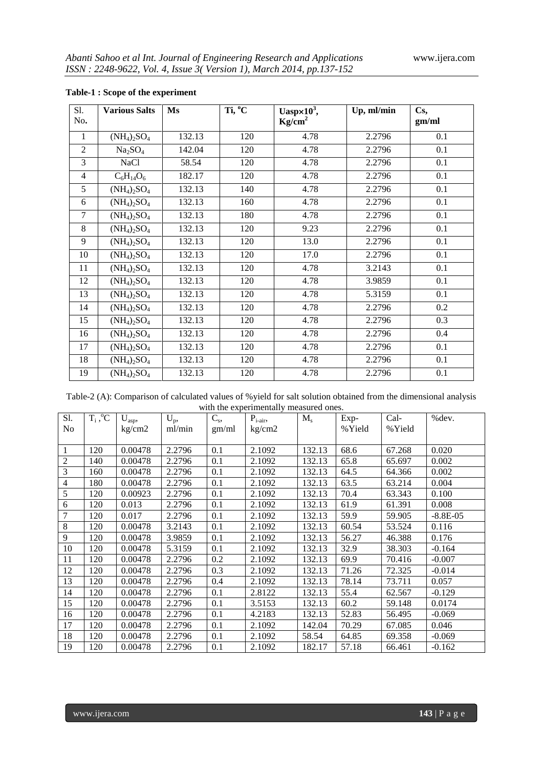| S1.            | <b>Various Salts</b>            | Ms     | Ti, <sup>o</sup> C | Uasp $\times 10^3$ ,<br>Up, ml/min |        | Cs,   |
|----------------|---------------------------------|--------|--------------------|------------------------------------|--------|-------|
| No.            |                                 |        |                    | Kg/cm <sup>2</sup>                 |        | gm/ml |
| 1              | $(NH_4)_2SO_4$                  | 132.13 | 120                | 4.78                               | 2.2796 | 0.1   |
| $\overline{2}$ | Na <sub>2</sub> SO <sub>4</sub> | 142.04 | 120                | 4.78                               | 2.2796 | 0.1   |
| 3              | <b>NaCl</b>                     | 58.54  | 120                | 4.78                               | 2.2796 | 0.1   |
| $\overline{4}$ | $C_6H_{14}O_6$                  | 182.17 | 120                | 4.78                               | 2.2796 | 0.1   |
| 5              | $(NH_4)_2SO_4$                  | 132.13 | 140                | 4.78                               | 2.2796 | 0.1   |
| 6              | $(NH_4)_2SO_4$                  | 132.13 | 160                | 4.78                               | 2.2796 | 0.1   |
| $\tau$         | $(NH_4)_2SO_4$                  | 132.13 | 180                | 4.78                               | 2.2796 | 0.1   |
| 8              | $(NH_4)_2SO_4$                  | 132.13 | 120                | 9.23                               | 2.2796 | 0.1   |
| 9              | $(NH_4)_2SO_4$                  | 132.13 | 120                | 13.0                               | 2.2796 | 0.1   |
| 10             | $(NH_4)_2SO_4$                  | 132.13 | 120                | 17.0                               | 2.2796 | 0.1   |
| 11             | $(NH_4)_2SO_4$                  | 132.13 | 120                | 4.78                               | 3.2143 | 0.1   |
| 12             | $(NH_4)_2SO_4$                  | 132.13 | 120                | 4.78                               | 3.9859 | 0.1   |
| 13             | $(NH_4)_2SO_4$                  | 132.13 | 120                | 4.78                               | 5.3159 | 0.1   |
| 14             | $(NH_4)_2SO_4$                  | 132.13 | 120                | 4.78                               | 2.2796 | 0.2   |
| 15             | $(NH_4)_2SO_4$                  | 132.13 | 120                | 4.78                               | 2.2796 | 0.3   |
| 16             | $(NH_4)_2SO_4$                  | 132.13 | 120                | 4.78                               | 2.2796 | 0.4   |
| 17             | $(NH_4)_2SO_4$                  | 132.13 | 120                | 4.78                               | 2.2796 | 0.1   |
| 18             | $(NH_4)_2SO_4$                  | 132.13 | 120                | 4.78                               | 2.2796 | 0.1   |
| 19             | $(NH_4)_2SO_4$                  | 132.13 | 120                | 4.78                               | 2.2796 | 0.1   |

# **Table-1 : Scope of the experiment**

Table-2 (A): Comparison of calculated values of %yield for salt solution obtained from the dimensional analysis with the experimentally measured ones.

| S1. | $T_i, C$ | $U_{asp}$ | $U_p$ , | $C_{s}$ | $P_{i-air}$ | $M_{s}$ | Exp-    | Cal-    | %dev.      |
|-----|----------|-----------|---------|---------|-------------|---------|---------|---------|------------|
| No  |          | kg/cm2    | ml/min  | gm/ml   | kg/cm2      |         | % Yield | % Yield |            |
|     |          |           |         |         |             |         |         |         |            |
| 1   | 120      | 0.00478   | 2.2796  | 0.1     | 2.1092      | 132.13  | 68.6    | 67.268  | 0.020      |
| 2   | 140      | 0.00478   | 2.2796  | 0.1     | 2.1092      | 132.13  | 65.8    | 65.697  | 0.002      |
| 3   | 160      | 0.00478   | 2.2796  | 0.1     | 2.1092      | 132.13  | 64.5    | 64.366  | 0.002      |
| 4   | 180      | 0.00478   | 2.2796  | 0.1     | 2.1092      | 132.13  | 63.5    | 63.214  | 0.004      |
| 5   | 120      | 0.00923   | 2.2796  | 0.1     | 2.1092      | 132.13  | 70.4    | 63.343  | 0.100      |
| 6   | 120      | 0.013     | 2.2796  | 0.1     | 2.1092      | 132.13  | 61.9    | 61.391  | 0.008      |
| 7   | 120      | 0.017     | 2.2796  | 0.1     | 2.1092      | 132.13  | 59.9    | 59.905  | $-8.8E-05$ |
| 8   | 120      | 0.00478   | 3.2143  | 0.1     | 2.1092      | 132.13  | 60.54   | 53.524  | 0.116      |
| 9   | 120      | 0.00478   | 3.9859  | 0.1     | 2.1092      | 132.13  | 56.27   | 46.388  | 0.176      |
| 10  | 120      | 0.00478   | 5.3159  | 0.1     | 2.1092      | 132.13  | 32.9    | 38.303  | $-0.164$   |
| 11  | 120      | 0.00478   | 2.2796  | 0.2     | 2.1092      | 132.13  | 69.9    | 70.416  | $-0.007$   |
| 12  | 120      | 0.00478   | 2.2796  | 0.3     | 2.1092      | 132.13  | 71.26   | 72.325  | $-0.014$   |
| 13  | 120      | 0.00478   | 2.2796  | 0.4     | 2.1092      | 132.13  | 78.14   | 73.711  | 0.057      |
| 14  | 120      | 0.00478   | 2.2796  | 0.1     | 2.8122      | 132.13  | 55.4    | 62.567  | $-0.129$   |
| 15  | 120      | 0.00478   | 2.2796  | 0.1     | 3.5153      | 132.13  | 60.2    | 59.148  | 0.0174     |
| 16  | 120      | 0.00478   | 2.2796  | 0.1     | 4.2183      | 132.13  | 52.83   | 56.495  | $-0.069$   |
| 17  | 120      | 0.00478   | 2.2796  | 0.1     | 2.1092      | 142.04  | 70.29   | 67.085  | 0.046      |
| 18  | 120      | 0.00478   | 2.2796  | 0.1     | 2.1092      | 58.54   | 64.85   | 69.358  | $-0.069$   |
| 19  | 120      | 0.00478   | 2.2796  | 0.1     | 2.1092      | 182.17  | 57.18   | 66.461  | $-0.162$   |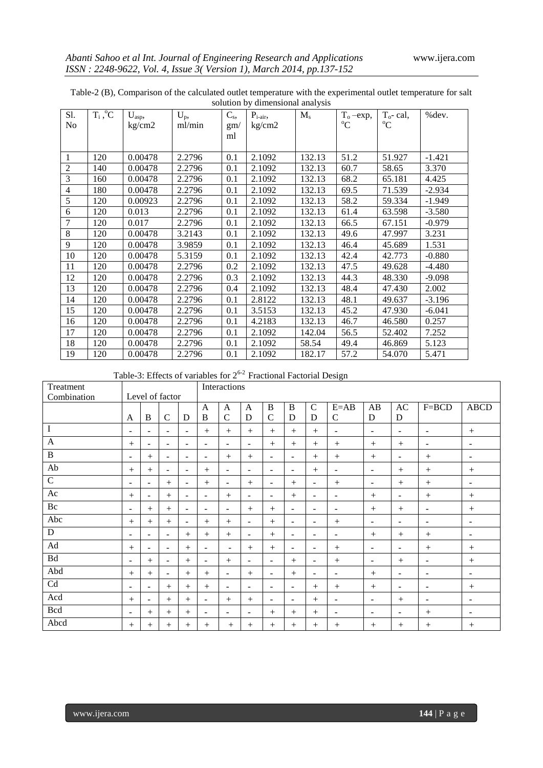| S1.            | $T_i, C$ | $\mathbf{U}_\mathrm{asp},$ | $U_p$ , | $C_{s}$ | $P_{i-air}$ | $M_{s}$ | $T_{o}$ -exp, | $T_{o}$ - cal, | %dev.    |
|----------------|----------|----------------------------|---------|---------|-------------|---------|---------------|----------------|----------|
| No             |          | kg/cm2                     | ml/min  | gm/     | kg/cm2      |         | $^{\circ}C$   | $\rm ^{o}C$    |          |
|                |          |                            |         | ml      |             |         |               |                |          |
|                |          |                            |         |         |             |         |               |                |          |
| $\mathbf{1}$   | 120      | 0.00478                    | 2.2796  | 0.1     | 2.1092      | 132.13  | 51.2          | 51.927         | $-1.421$ |
| $\overline{2}$ | 140      | 0.00478                    | 2.2796  | 0.1     | 2.1092      | 132.13  | 60.7          | 58.65          | 3.370    |
| 3              | 160      | 0.00478                    | 2.2796  | 0.1     | 2.1092      | 132.13  | 68.2          | 65.181         | 4.425    |
| $\overline{4}$ | 180      | 0.00478                    | 2.2796  | 0.1     | 2.1092      | 132.13  | 69.5          | 71.539         | $-2.934$ |
| 5              | 120      | 0.00923                    | 2.2796  | 0.1     | 2.1092      | 132.13  | 58.2          | 59.334         | $-1.949$ |
| 6              | 120      | 0.013                      | 2.2796  | 0.1     | 2.1092      | 132.13  | 61.4          | 63.598         | $-3.580$ |
| $\overline{7}$ | 120      | 0.017                      | 2.2796  | 0.1     | 2.1092      | 132.13  | 66.5          | 67.151         | $-0.979$ |
| $\,8\,$        | 120      | 0.00478                    | 3.2143  | 0.1     | 2.1092      | 132.13  | 49.6          | 47.997         | 3.231    |
| 9              | 120      | 0.00478                    | 3.9859  | 0.1     | 2.1092      | 132.13  | 46.4          | 45.689         | 1.531    |
| 10             | 120      | 0.00478                    | 5.3159  | 0.1     | 2.1092      | 132.13  | 42.4          | 42.773         | $-0.880$ |
| 11             | 120      | 0.00478                    | 2.2796  | 0.2     | 2.1092      | 132.13  | 47.5          | 49.628         | $-4.480$ |
| 12             | 120      | 0.00478                    | 2.2796  | 0.3     | 2.1092      | 132.13  | 44.3          | 48.330         | $-9.098$ |
| 13             | 120      | 0.00478                    | 2.2796  | 0.4     | 2.1092      | 132.13  | 48.4          | 47.430         | 2.002    |
| 14             | 120      | 0.00478                    | 2.2796  | 0.1     | 2.8122      | 132.13  | 48.1          | 49.637         | $-3.196$ |
| 15             | 120      | 0.00478                    | 2.2796  | 0.1     | 3.5153      | 132.13  | 45.2          | 47.930         | $-6.041$ |
| 16             | 120      | 0.00478                    | 2.2796  | 0.1     | 4.2183      | 132.13  | 46.7          | 46.580         | 0.257    |
| 17             | 120      | 0.00478                    | 2.2796  | 0.1     | 2.1092      | 142.04  | 56.5          | 52.402         | 7.252    |
| 18             | 120      | 0.00478                    | 2.2796  | 0.1     | 2.1092      | 58.54   | 49.4          | 46.869         | 5.123    |
| 19             | 120      | 0.00478                    | 2.2796  | 0.1     | 2.1092      | 182.17  | 57.2          | 54.070         | 5.471    |

Table-2 (B), Comparison of the calculated outlet temperature with the experimental outlet temperature for salt solution by dimensional analysis

Table-3: Effects of variables for  $2^{6-2}$  Fractional Factorial Design

| Treatment   |                          | Level of factor          |                          |                          | Interactions             |                          |                          |                          |                          |                          |                          |                          |                          |                          |                          |
|-------------|--------------------------|--------------------------|--------------------------|--------------------------|--------------------------|--------------------------|--------------------------|--------------------------|--------------------------|--------------------------|--------------------------|--------------------------|--------------------------|--------------------------|--------------------------|
| Combination |                          |                          |                          |                          |                          |                          |                          |                          |                          |                          |                          |                          |                          |                          |                          |
|             |                          |                          |                          |                          | $\mathbf{A}$             | $\mathbf{A}$             | $\overline{A}$           | B                        | $\, {\bf B}$             | $\mathsf{C}$             | $E = AB$                 | AB                       | AC                       | $F = BCD$                | <b>ABCD</b>              |
|             | $\mathbf{A}$             | B                        | $\mathbf C$              | D                        | B                        | $\mathbf C$              | D                        | $\mathcal{C}$            | D                        | D                        | $\mathsf{C}$             | D                        | D                        |                          |                          |
| $\bf I$     | $\blacksquare$           | $\sim$                   | $\sim$                   | $\sim$                   | $+$                      |                          | $^{+}$                   | $+$                      | $+$                      | $^{+}$                   | $\sim$                   | $\sim$                   | $\blacksquare$           | $\sim$                   | $^{+}$                   |
| A           |                          | $\overline{\phantom{a}}$ | $\sim$                   | $\overline{\phantom{a}}$ | $\overline{\phantom{a}}$ | $\sim$                   | $\overline{\phantom{a}}$ | $^{+}$                   | $^{+}$                   | $^{+}$                   | $^{+}$                   | $^{+}$                   | $^{+}$                   | $\sim$                   | $\overline{\phantom{a}}$ |
| $\bf{B}$    | $\sim$                   | $+$                      | $\overline{\phantom{a}}$ | $\overline{\phantom{a}}$ | $\sim$                   | $+$                      | $^{+}$                   | $\overline{\phantom{a}}$ | $\overline{\phantom{a}}$ | $+$                      | $^{+}$                   | $+$                      | $\overline{\phantom{a}}$ | $+$                      | $\overline{\phantom{a}}$ |
| Ab          | $+$                      | $^{+}$                   | $\overline{\phantom{a}}$ | $\overline{\phantom{a}}$ | $+$                      | $\overline{\phantom{a}}$ | $\overline{\phantom{a}}$ | $\overline{\phantom{a}}$ | $\overline{\phantom{a}}$ | $^{+}$                   | $\overline{\phantom{a}}$ | $\overline{\phantom{a}}$ | $^{+}$                   | $^{+}$                   | $^{+}$                   |
| $\mathbf C$ | $\blacksquare$           | $\overline{\phantom{a}}$ | $+$                      | $\overline{\phantom{a}}$ | $^{+}$                   | $\sim$                   | $^{+}$                   | $\overline{\phantom{a}}$ | $^{+}$                   | $\overline{\phantom{a}}$ | $^{+}$                   | $\qquad \qquad -$        | $^{+}$                   | $^{+}$                   | -                        |
| Ac          |                          | $\overline{\phantom{a}}$ | $^{+}$                   | $\overline{\phantom{a}}$ | $\overline{\phantom{a}}$ |                          | $\overline{\phantom{a}}$ | $\overline{\phantom{a}}$ | $^{+}$                   | $\blacksquare$           | $\overline{\phantom{a}}$ | $^{+}$                   | $\sim$                   | $^{+}$                   | $^{+}$                   |
| Bc          | $\blacksquare$           | $+$                      | $+$                      | $\blacksquare$           | $\overline{\phantom{a}}$ | $\sim$                   | $^{+}$                   | $+$                      | $\overline{\phantom{a}}$ | $\overline{\phantom{a}}$ | $\overline{\phantom{a}}$ | $^{+}$                   | $^{+}$                   | $\sim$                   | $^{+}$                   |
| Abc         | $+$                      | $^{+}$                   | $^{+}$                   | $\blacksquare$           | $+$                      | $+$                      | $\sim$                   | $+$                      | $\overline{\phantom{a}}$ | $\overline{\phantom{a}}$ | $+$                      | $\overline{\phantom{a}}$ | $\overline{\phantom{a}}$ | $\blacksquare$           | $\overline{\phantom{a}}$ |
| D           | $\blacksquare$           | $\sim$                   | $\blacksquare$           | $+$                      | $^{+}$                   |                          | $\overline{\phantom{a}}$ | $^{+}$                   | $\overline{\phantom{a}}$ | $\blacksquare$           | $\overline{\phantom{a}}$ | $^{+}$                   | $^{+}$                   | $^{+}$                   | $\overline{\phantom{a}}$ |
| Ad          | $^{+}$                   | $\overline{\phantom{a}}$ | $\overline{\phantom{a}}$ | $+$                      | $\sim$                   | $\overline{\phantom{a}}$ | $^{+}$                   | $^{+}$                   | $\overline{\phantom{a}}$ | $\overline{\phantom{a}}$ | $^{+}$                   | $\overline{\phantom{a}}$ | $\overline{\phantom{a}}$ | $^{+}$                   | $^{+}$                   |
| Bd          | $\overline{\phantom{a}}$ | $+$                      | $\overline{\phantom{a}}$ | $+$                      | $\sim$                   | $+$                      | $\overline{\phantom{a}}$ | $\overline{\phantom{a}}$ | $^{+}$                   | $\sim$                   | $^{+}$                   | $\overline{\phantom{a}}$ | $+$                      | $\sim$                   | $+$                      |
| Abd         | $+$                      | $^{+}$                   | $\overline{\phantom{a}}$ | $+$                      | $+$                      | $\overline{\phantom{a}}$ | $^{+}$                   | $\overline{\phantom{a}}$ | $^{+}$                   | $\overline{\phantom{a}}$ | $\overline{\phantom{a}}$ | $^{+}$                   | $\overline{\phantom{a}}$ | $\overline{\phantom{a}}$ | -                        |
| Cd          | $\blacksquare$           | $\overline{\phantom{a}}$ | $^{+}$                   | $+$                      | $+$                      | $\overline{\phantom{a}}$ | $\overline{\phantom{a}}$ | $\overline{\phantom{a}}$ | $\overline{\phantom{a}}$ | $^{+}$                   | $^{+}$                   | $\hspace{0.1mm} +$       | $\overline{\phantom{a}}$ | $\overline{\phantom{a}}$ | $^{+}$                   |
| Acd         | $+$                      | $\overline{\phantom{a}}$ | $^{+}$                   | $+$                      | $\overline{\phantom{a}}$ | $+$                      | $^{+}$                   | $\overline{\phantom{a}}$ | $\overline{\phantom{a}}$ | $+$                      | $\sim$                   | $\overline{\phantom{0}}$ | $^{+}$                   | $\sim$                   | $\overline{\phantom{a}}$ |
| <b>Bcd</b>  | $\blacksquare$           | $+$                      | $+$                      | $+$                      | $\overline{\phantom{a}}$ | $\blacksquare$           | $\overline{\phantom{a}}$ | $+$                      | $+$                      |                          | $\sim$                   | ۰                        | $\overline{\phantom{a}}$ | $+$                      | ٠                        |
| Abcd        | $+$                      | $^{+}$                   | $^{+}$                   | $+$                      | $^{+}$                   | $+$                      | $^{+}$                   | $^{+}$                   | $^{+}$                   | $+$                      | $^{+}$                   | $^+$                     | $\hspace{0.1mm} +$       | $^{+}$                   | $^{+}$                   |

www.ijera.com **144** | P a g e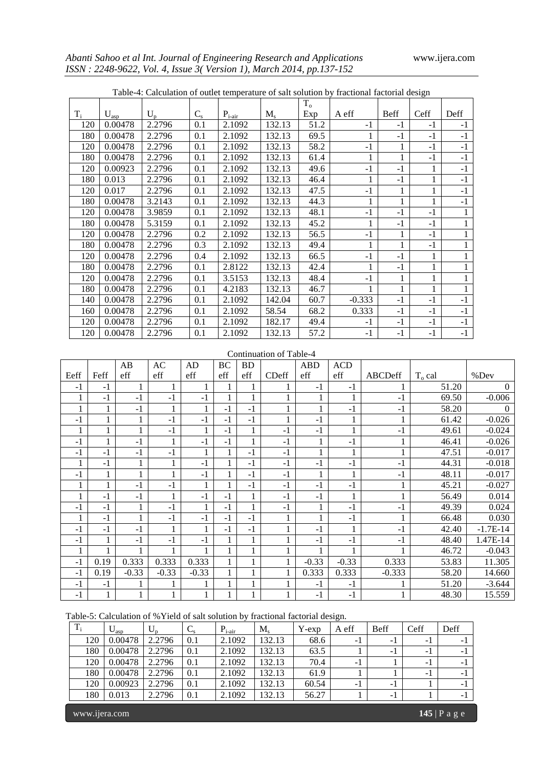|       | Table-4: Calculation of outlet temperature of salt solution by fractional factorial design |        |             |             |             |         |          |             |      |      |  |  |  |  |
|-------|--------------------------------------------------------------------------------------------|--------|-------------|-------------|-------------|---------|----------|-------------|------|------|--|--|--|--|
|       |                                                                                            |        |             |             |             | $T_{o}$ |          |             |      |      |  |  |  |  |
| $T_i$ | $U_{\rm asp}$                                                                              | $U_p$  | $C_{\rm s}$ | $P_{i-air}$ | $M_{\rm s}$ | Exp     | A eff    | <b>Beff</b> | Ceff | Deff |  |  |  |  |
| 120   | 0.00478                                                                                    | 2.2796 | 0.1         | 2.1092      | 132.13      | 51.2    | $-1$     | $-1$        | $-1$ | $-1$ |  |  |  |  |
| 180   | 0.00478                                                                                    | 2.2796 | 0.1         | 2.1092      | 132.13      | 69.5    |          | $-1$        | $-1$ | $-1$ |  |  |  |  |
| 120   | 0.00478                                                                                    | 2.2796 | 0.1         | 2.1092      | 132.13      | 58.2    | $-1$     |             | $-1$ | $-1$ |  |  |  |  |
| 180   | 0.00478                                                                                    | 2.2796 | 0.1         | 2.1092      | 132.13      | 61.4    | 1        |             | $-1$ | $-1$ |  |  |  |  |
| 120   | 0.00923                                                                                    | 2.2796 | 0.1         | 2.1092      | 132.13      | 49.6    | $-1$     | $-1$        |      | $-1$ |  |  |  |  |
| 180   | 0.013                                                                                      | 2.2796 | 0.1         | 2.1092      | 132.13      | 46.4    |          | $-1$        |      | $-1$ |  |  |  |  |
| 120   | 0.017                                                                                      | 2.2796 | 0.1         | 2.1092      | 132.13      | 47.5    | $-1$     | 1           |      | $-1$ |  |  |  |  |
| 180   | 0.00478                                                                                    | 3.2143 | 0.1         | 2.1092      | 132.13      | 44.3    | 1        | 1           | 1    | $-1$ |  |  |  |  |
| 120   | 0.00478                                                                                    | 3.9859 | 0.1         | 2.1092      | 132.13      | 48.1    | $-1$     | $-1$        | $-1$ |      |  |  |  |  |
| 180   | 0.00478                                                                                    | 5.3159 | 0.1         | 2.1092      | 132.13      | 45.2    | 1        | $-1$        | $-1$ |      |  |  |  |  |
| 120   | 0.00478                                                                                    | 2.2796 | 0.2         | 2.1092      | 132.13      | 56.5    | $-1$     | 1           | $-1$ |      |  |  |  |  |
| 180   | 0.00478                                                                                    | 2.2796 | 0.3         | 2.1092      | 132.13      | 49.4    | 1        |             | $-1$ |      |  |  |  |  |
| 120   | 0.00478                                                                                    | 2.2796 | 0.4         | 2.1092      | 132.13      | 66.5    | $-1$     | $-1$        |      |      |  |  |  |  |
| 180   | 0.00478                                                                                    | 2.2796 | 0.1         | 2.8122      | 132.13      | 42.4    |          | $-1$        |      |      |  |  |  |  |
| 120   | 0.00478                                                                                    | 2.2796 | 0.1         | 3.5153      | 132.13      | 48.4    | $-1$     |             |      |      |  |  |  |  |
| 180   | 0.00478                                                                                    | 2.2796 | 0.1         | 4.2183      | 132.13      | 46.7    | 1        |             |      |      |  |  |  |  |
| 140   | 0.00478                                                                                    | 2.2796 | 0.1         | 2.1092      | 142.04      | 60.7    | $-0.333$ | $-1$        | $-1$ | $-1$ |  |  |  |  |
| 160   | 0.00478                                                                                    | 2.2796 | 0.1         | 2.1092      | 58.54       | 68.2    | 0.333    | $-1$        | $-1$ | $-1$ |  |  |  |  |
| 120   | 0.00478                                                                                    | 2.2796 | 0.1         | 2.1092      | 182.17      | 49.4    | $-1$     | $-1$        | $-1$ | $-1$ |  |  |  |  |
| 120   | 0.00478                                                                                    | 2.2796 | 0.1         | 2.1092      | 132.13      | 57.2    | $-1$     | $-1$        | $-1$ | $-1$ |  |  |  |  |

#### Continuation of Table-4

|      |      | AB      | AC      | AD      | BC   | <b>BD</b> |              | <b>ABD</b> | <b>ACD</b>   |          |          |            |
|------|------|---------|---------|---------|------|-----------|--------------|------------|--------------|----------|----------|------------|
| Eeff | Feff | eff     | eff     | eff     | eff  | eff       | <b>CDeff</b> | eff        | eff          | ABCDeff  | $To$ cal | %Dev       |
| $-1$ | $-1$ | 1       | 1       | 1       |      |           |              | $-1$       | $-1$         |          | 51.20    | $\Omega$   |
|      | $-1$ | $-1$    | $-1$    | $-1$    |      |           |              |            | 1            | $-1$     | 69.50    | $-0.006$   |
|      |      | $-1$    |         |         | $-1$ | $-1$      |              |            | $-1$         | $-1$     | 58.20    | 0          |
| $-1$ |      |         | $-1$    | $-1$    | $-1$ | $-1$      |              | $-1$       | T            |          | 61.42    | $-0.026$   |
|      |      |         | $-1$    |         | $-1$ | 1         | $-1$         | $-1$       | $\mathbf{1}$ | $-1$     | 49.61    | $-0.024$   |
| -1   |      | $-1$    | 1       | $-1$    | $-1$ |           | $-1$         |            | $-1$         | 1        | 46.41    | $-0.026$   |
| $-1$ | $-1$ | $-1$    | $-1$    |         |      | $-1$      | $-1$         |            |              |          | 47.51    | $-0.017$   |
|      | $-1$ |         |         | $-1$    |      | $-1$      | $-1$         | $-1$       | $-1$         | $-1$     | 44.31    | $-0.018$   |
| -1   |      |         | 1       | $-1$    |      | $-1$      | $-1$         |            | 1            | $-1$     | 48.11    | $-0.017$   |
|      |      | $-1$    | $-1$    |         |      | $-1$      | $-1$         | $-1$       | $-1$         |          | 45.21    | $-0.027$   |
|      | $-1$ | $-1$    |         | $-1$    | $-1$ |           | $-1$         | $-1$       |              |          | 56.49    | 0.014      |
| $-1$ | $-1$ |         | $-1$    |         | $-1$ |           | $-1$         |            | $-1$         | $-1$     | 49.39    | 0.024      |
|      | $-1$ |         | $-1$    | $-1$    | $-1$ | $-1$      | 1            |            | $-1$         |          | 66.48    | 0.030      |
| $-1$ | $-1$ | $-1$    | 1       | 1       | $-1$ | $-1$      |              | $-1$       | $\mathbf{1}$ | $-1$     | 42.40    | $-1.7E-14$ |
| -1   |      | $-1$    | $-1$    | $-1$    |      |           |              | $-1$       | $-1$         | $-1$     | 48.40    | 1.47E-14   |
|      |      |         |         |         |      |           |              |            |              |          | 46.72    | $-0.043$   |
| $-1$ | 0.19 | 0.333   | 0.333   | 0.333   |      |           |              | $-0.33$    | $-0.33$      | 0.333    | 53.83    | 11.305     |
| $-1$ | 0.19 | $-0.33$ | $-0.33$ | $-0.33$ |      |           | 1            | 0.333      | 0.333        | $-0.333$ | 58.20    | 14.660     |
| $-1$ | $-1$ |         |         |         |      |           |              | $-1$       | $-1$         |          | 51.20    | $-3.644$   |
| $-1$ |      |         |         |         |      |           |              | $-1$       | $-1$         |          | 48.30    | 15.559     |

Table-5: Calculation of %Yield of salt solution by fractional factorial design.

| $T_i$ |     | $\cup_{\text{asp}}$ | $U_{p}$ | $C_{\rm s}$ | $P_{i-air}$ | $\rm M_{\rm s}$ | Y-exp | A eff | <b>Beff</b> | Ceff                     | Deff |
|-------|-----|---------------------|---------|-------------|-------------|-----------------|-------|-------|-------------|--------------------------|------|
|       | 120 | 0.00478             | 2.2796  | 0.1         | 2.1092      | 132.13          | 68.6  | - 1   | $-1$        | - 1                      | - 1  |
|       | 180 | 0.00478             | 2.2796  | 0.1         | 2.1092      | 132.13          | 63.5  |       | - 1         | - 1                      | - 1  |
|       | 120 | 0.00478             | 2.2796  | 0.1         | 2.1092      | 132.13          | 70.4  | - 1   |             | $\overline{\phantom{0}}$ | - 1  |
|       | 180 | 0.00478             | 2.2796  | 0.1         | 2.1092      | 132.13          | 61.9  |       |             | - 1                      | - 1  |
|       | 120 | 0.00923             | 2.2796  | 0.1         | 2.1092      | 132.13          | 60.54 | - 1   | $-1$        |                          | - 1  |
|       | 180 | 0.013               | 2.2796  | 0.1         | 2.1092      | 132.13          | 56.27 |       | $-1$        |                          | - 1  |

www.ijera.com **145** | P a g e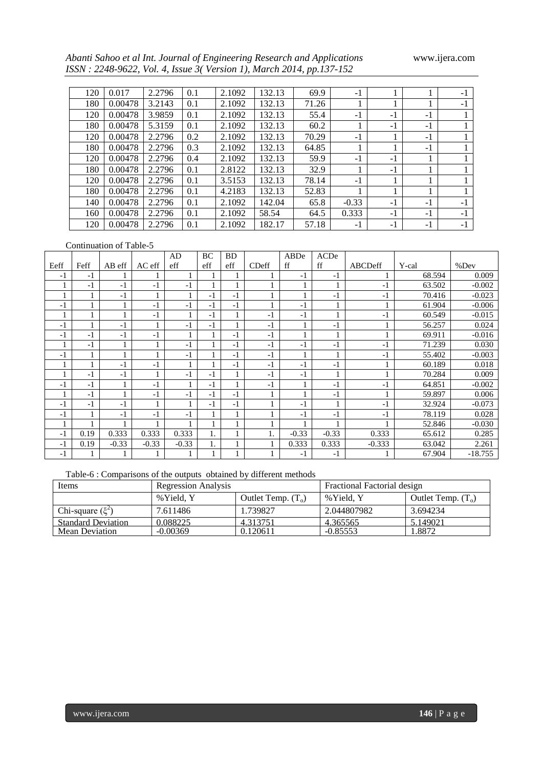*Abanti Sahoo et al Int. Journal of Engineering Research and Applications* www.ijera.com *ISSN : 2248-9622, Vol. 4, Issue 3( Version 1), March 2014, pp.137-152*

| 120 | 0.017   | 2.2796 | 0.1 | 2.1092 | 132.13 | 69.9  | $-1$    |      |      | $-1$ |
|-----|---------|--------|-----|--------|--------|-------|---------|------|------|------|
| 180 | 0.00478 | 3.2143 | 0.1 | 2.1092 | 132.13 | 71.26 |         |      | 1    | $-1$ |
| 120 | 0.00478 | 3.9859 | 0.1 | 2.1092 | 132.13 | 55.4  | $-1$    | $-1$ | $-1$ |      |
| 180 | 0.00478 | 5.3159 | 0.1 | 2.1092 | 132.13 | 60.2  |         | $-1$ | $-1$ |      |
| 120 | 0.00478 | 2.2796 | 0.2 | 2.1092 | 132.13 | 70.29 | $-1$    |      | $-1$ |      |
| 180 | 0.00478 | 2.2796 | 0.3 | 2.1092 | 132.13 | 64.85 |         |      | $-1$ |      |
| 120 | 0.00478 | 2.2796 | 0.4 | 2.1092 | 132.13 | 59.9  | $-1$    | $-1$ | 1    |      |
| 180 | 0.00478 | 2.2796 | 0.1 | 2.8122 | 132.13 | 32.9  |         | $-1$ | 1    |      |
| 120 | 0.00478 | 2.2796 | 0.1 | 3.5153 | 132.13 | 78.14 | $-1$    |      | 1    |      |
| 180 | 0.00478 | 2.2796 | 0.1 | 4.2183 | 132.13 | 52.83 |         | 1    | 1    |      |
| 140 | 0.00478 | 2.2796 | 0.1 | 2.1092 | 142.04 | 65.8  | $-0.33$ | $-1$ | $-1$ | $-1$ |
| 160 | 0.00478 | 2.2796 | 0.1 | 2.1092 | 58.54  | 64.5  | 0.333   | $-1$ | $-1$ | $-1$ |
| 120 | 0.00478 | 2.2796 | 0.1 | 2.1092 | 182.17 | 57.18 | $-1$    | $-1$ | $-1$ | $-1$ |

#### Continuation of Table-5

|      |      |         |         | AD      | BC   | <b>BD</b> |               | ABDe    | ACDe    |              |        |           |
|------|------|---------|---------|---------|------|-----------|---------------|---------|---------|--------------|--------|-----------|
| Eeff | Feff | AB eff  | AC eff  | eff     | eff  | eff       | <b>CD</b> eff | ff      | ff      | ABCDeff      | Y-cal  | %Dev      |
| $-1$ | $-1$ |         |         |         |      |           |               | $-1$    | $-1$    |              | 68.594 | 0.009     |
|      | $-1$ | $-1$    | $-1$    | -1      |      |           |               |         | 1       | $-1$         | 63.502 | $-0.002$  |
|      |      | $-1$    |         |         | $-1$ | $-1$      |               |         | $-1$    | $-1$         | 70.416 | $-0.023$  |
| $-1$ |      |         | $-1$    | $-1$    | $-1$ | $-1$      |               | $-1$    | 1       | $\mathbf{1}$ | 61.904 | $-0.006$  |
|      |      |         | $-1$    |         | $-1$ |           | $-1$          | $-1$    |         | -1           | 60.549 | $-0.015$  |
| $-1$ |      | $-1$    |         | $-1$    | $-1$ |           | $-1$          |         | $-1$    |              | 56.257 | 0.024     |
| $-1$ | $-1$ | $-1$    | $-1$    |         |      | -1        | $-1$          |         | 1       |              | 69.911 | $-0.016$  |
|      | $-1$ |         |         | $-1$    |      | $-1$      | $-1$          | $-1$    | $-1$    | $-1$         | 71.239 | 0.030     |
| $-1$ |      |         |         | $-1$    |      | $-1$      | -1            |         | 1       | $-1$         | 55.402 | $-0.003$  |
|      |      | $-1$    | $-1$    |         |      | $-1$      | $-1$          | $-1$    | $-1$    |              | 60.189 | 0.018     |
|      | $-1$ | $-1$    |         | $-1$    | $-1$ |           | $-1$          | $-1$    | 1       |              | 70.284 | 0.009     |
| $-1$ | $-1$ |         | $-1$    |         | $-1$ |           | $-1$          |         | $-1$    | $-1$         | 64.851 | $-0.002$  |
|      | $-1$ |         | $-1$    | $-1$    | $-1$ | $-1$      |               |         | $-1$    |              | 59.897 | 0.006     |
| $-1$ | $-1$ | $-1$    |         |         | $-1$ | $-1$      |               | $-1$    | 1       | -1           | 32.924 | $-0.073$  |
| $-1$ |      | $-1$    | $-1$    | -1      |      |           |               | $-1$    | $-1$    | $-1$         | 78.119 | 0.028     |
|      |      |         |         |         |      |           |               |         |         |              | 52.846 | $-0.030$  |
| $-1$ | 0.19 | 0.333   | 0.333   | 0.333   | 1.   |           |               | $-0.33$ | $-0.33$ | 0.333        | 65.612 | 0.285     |
| $-1$ | 0.19 | $-0.33$ | $-0.33$ | $-0.33$ |      |           |               | 0.333   | 0.333   | $-0.333$     | 63.042 | 2.261     |
| $-1$ |      |         |         |         |      |           |               | $-1$    | $-1$    |              | 67.904 | $-18.755$ |

Table-6 : Comparisons of the outputs obtained by different methods

| Items                     |  |            | <b>Regression Analysis</b> |                      | Fractional Factorial design |                      |  |  |
|---------------------------|--|------------|----------------------------|----------------------|-----------------------------|----------------------|--|--|
|                           |  | % Yield. Y |                            | Outlet Temp. $(T_0)$ | % Yield. Y                  | Outlet Temp. $(T_0)$ |  |  |
| Chi-square $(\xi^2)$      |  | 7.611486   |                            | 1.739827             | 2.044807982                 | 3.694234             |  |  |
| <b>Standard Deviation</b> |  | 0.088225   |                            | 4.313751             | 4.365565                    | 5.149021             |  |  |
| <b>Mean Deviation</b>     |  | $-0.00369$ |                            | 0.120611             | $-0.85553$                  | l.8872               |  |  |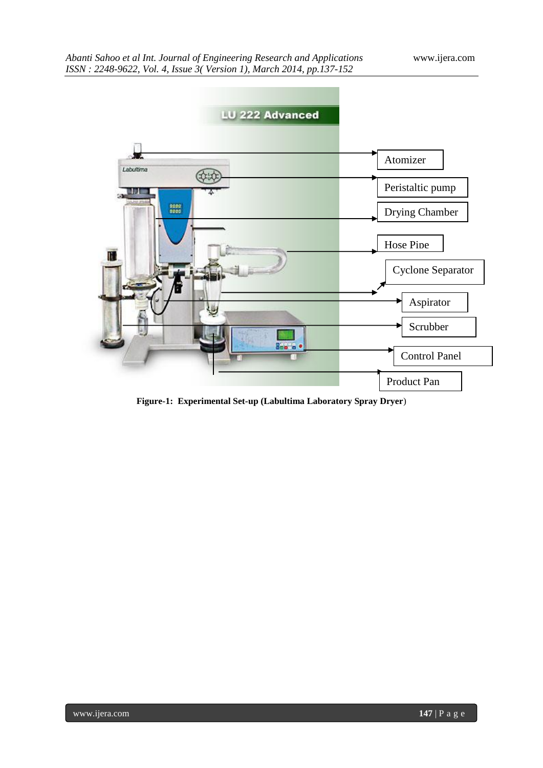

**Figure-1: Experimental Set-up (Labultima Laboratory Spray Dryer**)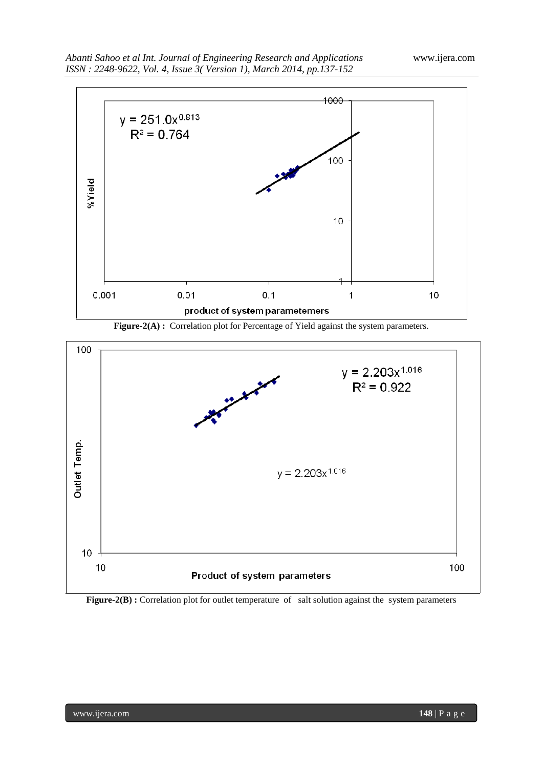





Figure-2(B) : Correlation plot for outlet temperature of salt solution against the system parameters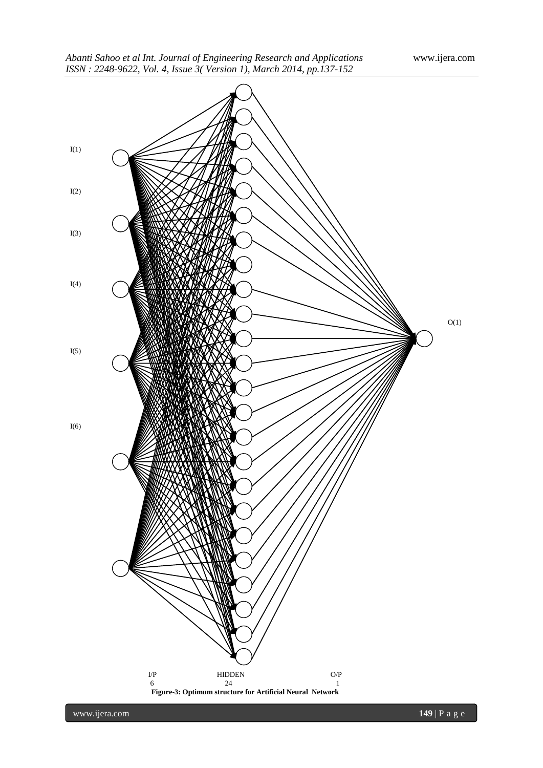

www.ijera.com **149** | P a g e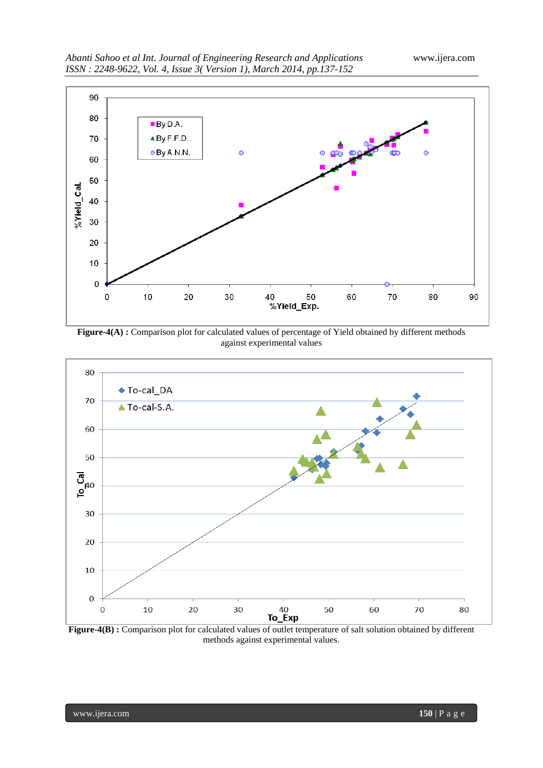





**Figure-4(B) :** Comparison plot for calculated values of outlet temperature of salt solution obtained by different methods against experimental values.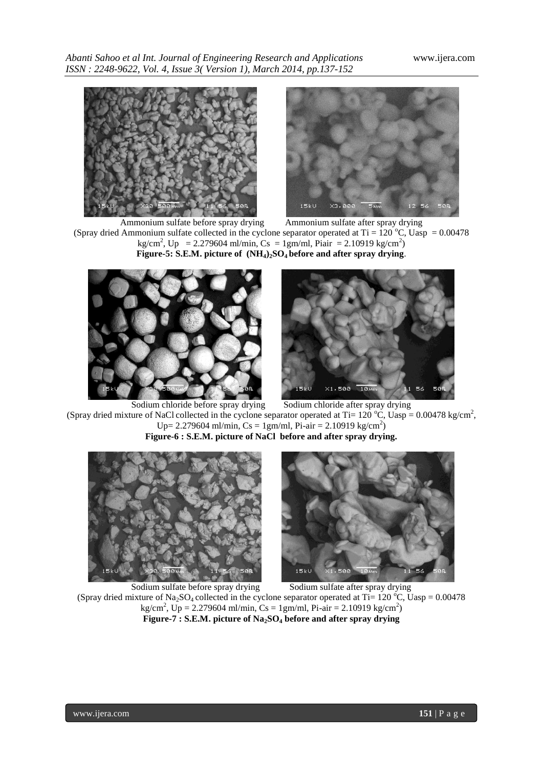*Abanti Sahoo et al Int. Journal of Engineering Research and Applications* www.ijera.com *ISSN : 2248-9622, Vol. 4, Issue 3( Version 1), March 2014, pp.137-152*





Ammonium sulfate before spray drying Ammonium sulfate after spray drying (Spray dried Ammonium sulfate collected in the cyclone separator operated at Ti = 120 °C, Uasp = 0.00478  $\text{kg/cm}^2$ , Up = 2.279604 ml/min, Cs = 1gm/ml, Piair = 2.10919 kg/cm<sup>2</sup>) **Figure-5: S.E.M. picture of (NH4)2SO4 before and after spray drying**.





Sodium chloride before spray drying Sodium chloride after spray drying (Spray dried mixture of NaCl collected in the cyclone separator operated at Ti= 120 °C, Uasp = 0.00478 kg/cm<sup>2</sup>, Up= 2.279604 ml/min, Cs = 1gm/ml, Pi-air = 2.10919 kg/cm<sup>2</sup>) **Figure-6 : S.E.M. picture of NaCl before and after spray drying.**



Sodium sulfate before spray drying Sodium sulfate after spray drying (Spray dried mixture of Na<sub>2</sub>SO<sub>4</sub> collected in the cyclone separator operated at Ti= 120 °C, Uasp = 0.00478  $\text{kg/cm}^2$ , Up = 2.279604 ml/min, Cs = 1gm/ml, Pi-air = 2.10919 kg/cm<sup>2</sup>) **Figure-7 : S.E.M. picture of Na2SO<sup>4</sup> before and after spray drying**